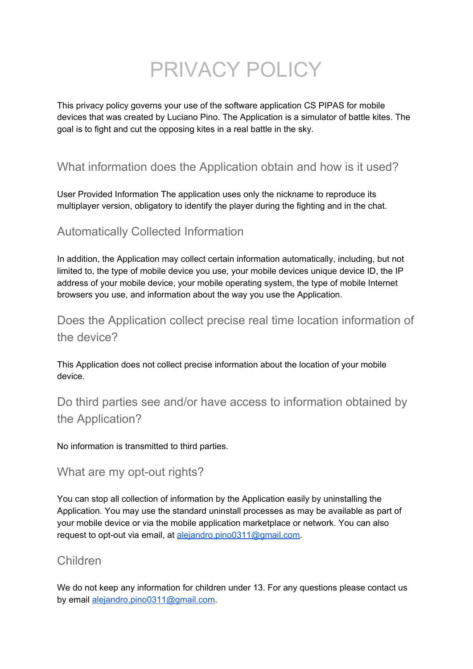# PRIVACY POLICY

This privacy policy governs your use of the software application CS PIPAS for mobile devices that was created by Luciano Pino. The Application is a simulator of battle kites. The goal is to fight and cut the opposing kites in a real battle in the sky.

## What information does the Application obtain and how is it used?

User Provided Information The application uses only the nickname to reproduce its multiplayer version, obligatory to identify the player during the fighting and in the chat.

### Automatically Collected Information

In addition, the Application may collect certain information automatically, including, but not limited to, the type of mobile device you use, your mobile devices unique device ID, the IP address of your mobile device, your mobile operating system, the type of mobile Internet browsers you use, and information about the way you use the Application.

Does the Application collect precise real time location information of the device?

This Application does not collect precise information about the location of your mobile device.

Do third parties see and/or have access to information obtained by the Application?

No information is transmitted to third parties.

#### What are my opt-out rights?

You can stop all collection of information by the Application easily by uninstalling the Application. You may use the standard uninstall processes as may be available as part of your mobile device or via the mobile application marketplace or network. You can also request to opt-out via email, at [alejandro.pino0311@gmail.com.](mailto:alejandro.pino0311@gmail.com)

#### Children

We do not keep any information for children under 13. For any questions please contact us by email [alejandro.pino0311@gmail.com.](mailto:alejandro.pino0311@gmail.com)